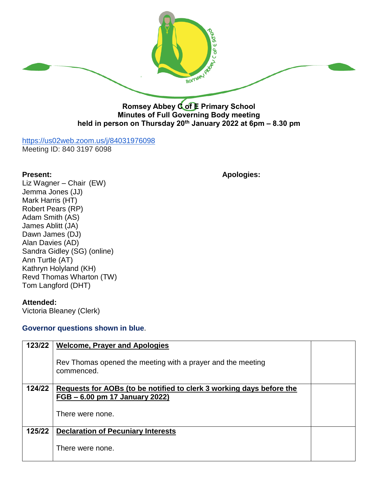

**Minutes of Full Governing Body meeting held in person on Thursday 20th January 2022 at 6pm – 8.30 pm**

## <https://us02web.zoom.us/j/84031976098>

Meeting ID: 840 3197 6098

**Present: Apologies:**

Liz Wagner – Chair (EW) Jemma Jones (JJ) Mark Harris (HT) Robert Pears (RP) Adam Smith (AS) James Ablitt (JA) Dawn James (DJ) Alan Davies (AD) Sandra Gidley (SG) (online) Ann Turtle (AT) Kathryn Holyland (KH) Revd Thomas Wharton (TW) Tom Langford (DHT)

## **Attended:**

Victoria Bleaney (Clerk)

## **Governor questions shown in blue**.

| 123/22 | <b>Welcome, Prayer and Apologies</b>                                      |  |
|--------|---------------------------------------------------------------------------|--|
|        | Rev Thomas opened the meeting with a prayer and the meeting<br>commenced. |  |
| 124/22 | Requests for AOBs (to be notified to clerk 3 working days before the      |  |
|        | FGB – 6.00 pm 17 January 2022)                                            |  |
|        | There were none.                                                          |  |
| 125/22 | <b>Declaration of Pecuniary Interests</b>                                 |  |
|        | There were none.                                                          |  |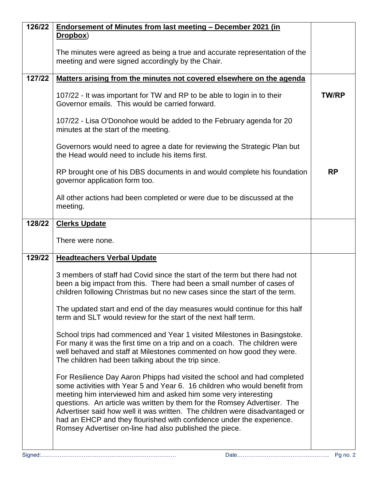| 126/22 | Endorsement of Minutes from last meeting - December 2021 (in                                                                                                                                                                                                                                                                                                                                                                                                                                                             |              |
|--------|--------------------------------------------------------------------------------------------------------------------------------------------------------------------------------------------------------------------------------------------------------------------------------------------------------------------------------------------------------------------------------------------------------------------------------------------------------------------------------------------------------------------------|--------------|
|        | Dropbox)                                                                                                                                                                                                                                                                                                                                                                                                                                                                                                                 |              |
|        | The minutes were agreed as being a true and accurate representation of the<br>meeting and were signed accordingly by the Chair.                                                                                                                                                                                                                                                                                                                                                                                          |              |
| 127/22 | Matters arising from the minutes not covered elsewhere on the agenda                                                                                                                                                                                                                                                                                                                                                                                                                                                     |              |
|        | 107/22 - It was important for TW and RP to be able to login in to their<br>Governor emails. This would be carried forward.                                                                                                                                                                                                                                                                                                                                                                                               | <b>TW/RP</b> |
|        | 107/22 - Lisa O'Donohoe would be added to the February agenda for 20<br>minutes at the start of the meeting.                                                                                                                                                                                                                                                                                                                                                                                                             |              |
|        | Governors would need to agree a date for reviewing the Strategic Plan but<br>the Head would need to include his items first.                                                                                                                                                                                                                                                                                                                                                                                             |              |
|        | RP brought one of his DBS documents in and would complete his foundation<br>governor application form too.                                                                                                                                                                                                                                                                                                                                                                                                               | <b>RP</b>    |
|        | All other actions had been completed or were due to be discussed at the<br>meeting.                                                                                                                                                                                                                                                                                                                                                                                                                                      |              |
| 128/22 | <b>Clerks Update</b>                                                                                                                                                                                                                                                                                                                                                                                                                                                                                                     |              |
|        | There were none.                                                                                                                                                                                                                                                                                                                                                                                                                                                                                                         |              |
| 129/22 | <b>Headteachers Verbal Update</b>                                                                                                                                                                                                                                                                                                                                                                                                                                                                                        |              |
|        | 3 members of staff had Covid since the start of the term but there had not<br>been a big impact from this. There had been a small number of cases of<br>children following Christmas but no new cases since the start of the term.                                                                                                                                                                                                                                                                                       |              |
|        | The updated start and end of the day measures would continue for this half<br>term and SLT would review for the start of the next half term.                                                                                                                                                                                                                                                                                                                                                                             |              |
|        | School trips had commenced and Year 1 visited Milestones in Basingstoke.<br>For many it was the first time on a trip and on a coach. The children were<br>well behaved and staff at Milestones commented on how good they were.<br>The children had been talking about the trip since.                                                                                                                                                                                                                                   |              |
|        | For Resilience Day Aaron Phipps had visited the school and had completed<br>some activities with Year 5 and Year 6. 16 children who would benefit from<br>meeting him interviewed him and asked him some very interesting<br>questions. An article was written by them for the Romsey Advertiser. The<br>Advertiser said how well it was written. The children were disadvantaged or<br>had an EHCP and they flourished with confidence under the experience.<br>Romsey Advertiser on-line had also published the piece. |              |
|        |                                                                                                                                                                                                                                                                                                                                                                                                                                                                                                                          |              |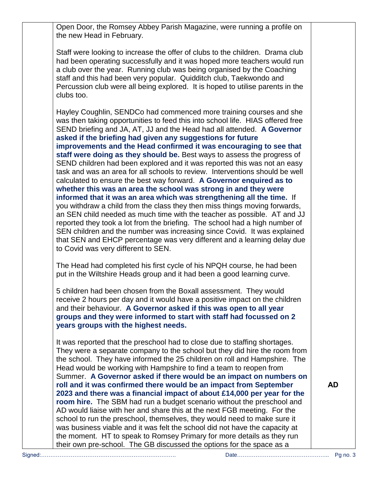Open Door, the Romsey Abbey Parish Magazine, were running a profile on the new Head in February.

Staff were looking to increase the offer of clubs to the children. Drama club had been operating successfully and it was hoped more teachers would run a club over the year. Running club was being organised by the Coaching staff and this had been very popular. Quidditch club, Taekwondo and Percussion club were all being explored. It is hoped to utilise parents in the clubs too.

Hayley Coughlin, SENDCo had commenced more training courses and she was then taking opportunities to feed this into school life. HIAS offered free SEND briefing and JA, AT, JJ and the Head had all attended. **A Governor asked if the briefing had given any suggestions for future improvements and the Head confirmed it was encouraging to see that staff were doing as they should be.** Best ways to assess the progress of SEND children had been explored and it was reported this was not an easy task and was an area for all schools to review. Interventions should be well calculated to ensure the best way forward. **A Governor enquired as to whether this was an area the school was strong in and they were informed that it was an area which was strengthening all the time.** If you withdraw a child from the class they then miss things moving forwards, an SEN child needed as much time with the teacher as possible. AT and JJ reported they took a lot from the briefing. The school had a high number of SEN children and the number was increasing since Covid. It was explained that SEN and EHCP percentage was very different and a learning delay due to Covid was very different to SEN.

The Head had completed his first cycle of his NPQH course, he had been put in the Wiltshire Heads group and it had been a good learning curve.

5 children had been chosen from the Boxall assessment. They would receive 2 hours per day and it would have a positive impact on the children and their behaviour. **A Governor asked if this was open to all year groups and they were informed to start with staff had focussed on 2 years groups with the highest needs.**

It was reported that the preschool had to close due to staffing shortages. They were a separate company to the school but they did hire the room from the school. They have informed the 25 children on roll and Hampshire. The Head would be working with Hampshire to find a team to reopen from Summer. **A Governor asked if there would be an impact on numbers on roll and it was confirmed there would be an impact from September 2023 and there was a financial impact of about £14,000 per year for the room hire.** The SBM had run a budget scenario without the preschool and AD would liaise with her and share this at the next FGB meeting. For the school to run the preschool, themselves, they would need to make sure it was business viable and it was felt the school did not have the capacity at the moment. HT to speak to Romsey Primary for more details as they run their own pre-school. The GB discussed the options for the space as a

**AD**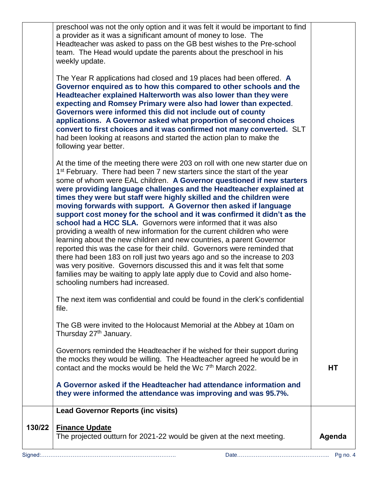| 130/22 | <b>Lead Governor Reports (inc visits)</b><br><b>Finance Update</b><br>The projected outturn for 2021-22 would be given at the next meeting.                                                                                                                                                                                                                                                                                                                                                                                                                                                                                                                                                                                                                                                                                                                                                                                                                                                                                                                                                                    | Agenda |
|--------|----------------------------------------------------------------------------------------------------------------------------------------------------------------------------------------------------------------------------------------------------------------------------------------------------------------------------------------------------------------------------------------------------------------------------------------------------------------------------------------------------------------------------------------------------------------------------------------------------------------------------------------------------------------------------------------------------------------------------------------------------------------------------------------------------------------------------------------------------------------------------------------------------------------------------------------------------------------------------------------------------------------------------------------------------------------------------------------------------------------|--------|
|        | A Governor asked if the Headteacher had attendance information and<br>they were informed the attendance was improving and was 95.7%.                                                                                                                                                                                                                                                                                                                                                                                                                                                                                                                                                                                                                                                                                                                                                                                                                                                                                                                                                                           |        |
|        | Governors reminded the Headteacher if he wished for their support during<br>the mocks they would be willing. The Headteacher agreed he would be in<br>contact and the mocks would be held the Wc 7 <sup>th</sup> March 2022.                                                                                                                                                                                                                                                                                                                                                                                                                                                                                                                                                                                                                                                                                                                                                                                                                                                                                   | HТ     |
|        | The GB were invited to the Holocaust Memorial at the Abbey at 10am on<br>Thursday 27 <sup>th</sup> January.                                                                                                                                                                                                                                                                                                                                                                                                                                                                                                                                                                                                                                                                                                                                                                                                                                                                                                                                                                                                    |        |
|        | The next item was confidential and could be found in the clerk's confidential<br>file.                                                                                                                                                                                                                                                                                                                                                                                                                                                                                                                                                                                                                                                                                                                                                                                                                                                                                                                                                                                                                         |        |
|        | At the time of the meeting there were 203 on roll with one new starter due on<br>1 <sup>st</sup> February. There had been 7 new starters since the start of the year<br>some of whom were EAL children. A Governor questioned if new starters<br>were providing language challenges and the Headteacher explained at<br>times they were but staff were highly skilled and the children were<br>moving forwards with support. A Governor then asked if language<br>support cost money for the school and it was confirmed it didn't as the<br>school had a HCC SLA. Governors were informed that it was also<br>providing a wealth of new information for the current children who were<br>learning about the new children and new countries, a parent Governor<br>reported this was the case for their child. Governors were reminded that<br>there had been 183 on roll just two years ago and so the increase to 203<br>was very positive. Governors discussed this and it was felt that some<br>families may be waiting to apply late apply due to Covid and also home-<br>schooling numbers had increased. |        |
|        | The Year R applications had closed and 19 places had been offered. A<br>Governor enquired as to how this compared to other schools and the<br>Headteacher explained Halterworth was also lower than they were<br>expecting and Romsey Primary were also had lower than expected.<br>Governors were informed this did not include out of county<br>applications. A Governor asked what proportion of second choices<br>convert to first choices and it was confirmed not many converted. SLT<br>had been looking at reasons and started the action plan to make the<br>following year better.                                                                                                                                                                                                                                                                                                                                                                                                                                                                                                                   |        |
|        | preschool was not the only option and it was felt it would be important to find<br>a provider as it was a significant amount of money to lose. The<br>Headteacher was asked to pass on the GB best wishes to the Pre-school<br>team. The Head would update the parents about the preschool in his<br>weekly update.                                                                                                                                                                                                                                                                                                                                                                                                                                                                                                                                                                                                                                                                                                                                                                                            |        |
|        |                                                                                                                                                                                                                                                                                                                                                                                                                                                                                                                                                                                                                                                                                                                                                                                                                                                                                                                                                                                                                                                                                                                |        |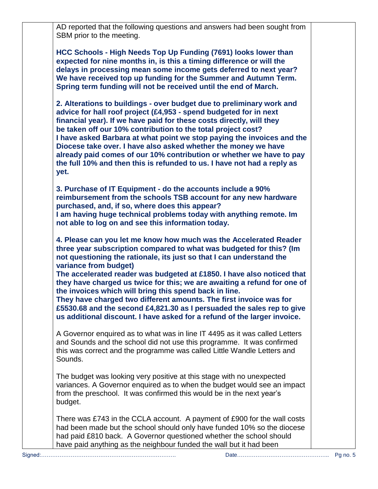AD reported that the following questions and answers had been sought from SBM prior to the meeting.

**HCC Schools - High Needs Top Up Funding (7691) looks lower than expected for nine months in, is this a timing difference or will the delays in processing mean some income gets deferred to next year? We have received top up funding for the Summer and Autumn Term. Spring term funding will not be received until the end of March.**

**2. Alterations to buildings - over budget due to preliminary work and advice for hall roof project (£4,953 - spend budgeted for in next financial year). If we have paid for these costs directly, will they be taken off our 10% contribution to the total project cost? I have asked Barbara at what point we stop paying the invoices and the Diocese take over. I have also asked whether the money we have already paid comes of our 10% contribution or whether we have to pay the full 10% and then this is refunded to us. I have not had a reply as yet.** 

**3. Purchase of IT Equipment - do the accounts include a 90% reimbursement from the schools TSB account for any new hardware purchased, and, if so, where does this appear? I am having huge technical problems today with anything remote. Im not able to log on and see this information today.**

**4. Please can you let me know how much was the Accelerated Reader three year subscription compared to what was budgeted for this? (Im not questioning the rationale, its just so that I can understand the variance from budget)**

**The accelerated reader was budgeted at £1850. I have also noticed that they have charged us twice for this; we are awaiting a refund for one of the invoices which will bring this spend back in line.**

**They have charged two different amounts. The first invoice was for £5530.68 and the second £4,821.30 as I persuaded the sales rep to give us additional discount. I have asked for a refund of the larger invoice.**

A Governor enquired as to what was in line IT 4495 as it was called Letters and Sounds and the school did not use this programme. It was confirmed this was correct and the programme was called Little Wandle Letters and Sounds.

The budget was looking very positive at this stage with no unexpected variances. A Governor enquired as to when the budget would see an impact from the preschool. It was confirmed this would be in the next year's budget.

There was £743 in the CCLA account. A payment of £900 for the wall costs had been made but the school should only have funded 10% so the diocese had paid £810 back. A Governor questioned whether the school should have paid anything as the neighbour funded the wall but it had been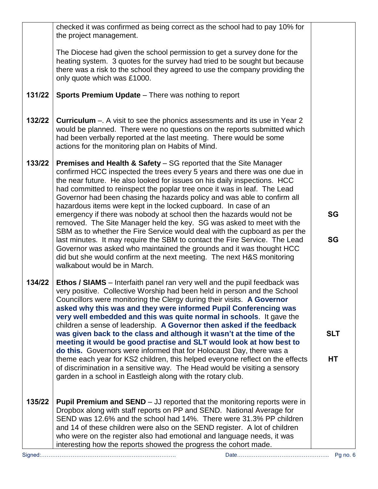|        | checked it was confirmed as being correct as the school had to pay 10% for                                                                                                                                                                                                                                                                                                                                                                                     |            |
|--------|----------------------------------------------------------------------------------------------------------------------------------------------------------------------------------------------------------------------------------------------------------------------------------------------------------------------------------------------------------------------------------------------------------------------------------------------------------------|------------|
|        | the project management.                                                                                                                                                                                                                                                                                                                                                                                                                                        |            |
|        | The Diocese had given the school permission to get a survey done for the<br>heating system. 3 quotes for the survey had tried to be sought but because<br>there was a risk to the school they agreed to use the company providing the<br>only quote which was £1000.                                                                                                                                                                                           |            |
| 131/22 | <b>Sports Premium Update</b> – There was nothing to report                                                                                                                                                                                                                                                                                                                                                                                                     |            |
| 132/22 | <b>Curriculum</b> –. A visit to see the phonics assessments and its use in Year 2<br>would be planned. There were no questions on the reports submitted which<br>had been verbally reported at the last meeting. There would be some<br>actions for the monitoring plan on Habits of Mind.                                                                                                                                                                     |            |
| 133/22 | <b>Premises and Health &amp; Safety - SG reported that the Site Manager</b><br>confirmed HCC inspected the trees every 5 years and there was one due in<br>the near future. He also looked for issues on his daily inspections. HCC<br>had committed to reinspect the poplar tree once it was in leaf. The Lead<br>Governor had been chasing the hazards policy and was able to confirm all<br>hazardous items were kept in the locked cupboard. In case of an |            |
|        | emergency if there was nobody at school then the hazards would not be<br>removed. The Site Manager held the key. SG was asked to meet with the<br>SBM as to whether the Fire Service would deal with the cupboard as per the                                                                                                                                                                                                                                   | <b>SG</b>  |
|        | last minutes. It may require the SBM to contact the Fire Service. The Lead<br>Governor was asked who maintained the grounds and it was thought HCC<br>did but she would confirm at the next meeting. The next H&S monitoring<br>walkabout would be in March.                                                                                                                                                                                                   | <b>SG</b>  |
| 134/22 | <b>Ethos / SIAMS</b> – Interfaith panel ran very well and the pupil feedback was<br>very positive. Collective Worship had been held in person and the School<br>Councillors were monitoring the Clergy during their visits. A Governor<br>asked why this was and they were informed Pupil Conferencing was<br>very well embedded and this was quite normal in schools. It gave the<br>children a sense of leadership. A Governor then asked if the feedback    |            |
|        | was given back to the class and although it wasn't at the time of the<br>meeting it would be good practise and SLT would look at how best to<br>do this. Governors were informed that for Holocaust Day, there was a                                                                                                                                                                                                                                           | <b>SLT</b> |
|        | theme each year for KS2 children, this helped everyone reflect on the effects<br>of discrimination in a sensitive way. The Head would be visiting a sensory<br>garden in a school in Eastleigh along with the rotary club.                                                                                                                                                                                                                                     | HT         |
| 135/22 | <b>Pupil Premium and SEND</b> $-$ JJ reported that the monitoring reports were in<br>Dropbox along with staff reports on PP and SEND. National Average for<br>SEND was 12.6% and the school had 14%. There were 31.3% PP children<br>and 14 of these children were also on the SEND register. A lot of children<br>who were on the register also had emotional and language needs, it was<br>interesting how the reports showed the progress the cohort made.  |            |
|        |                                                                                                                                                                                                                                                                                                                                                                                                                                                                | Pg no. $6$ |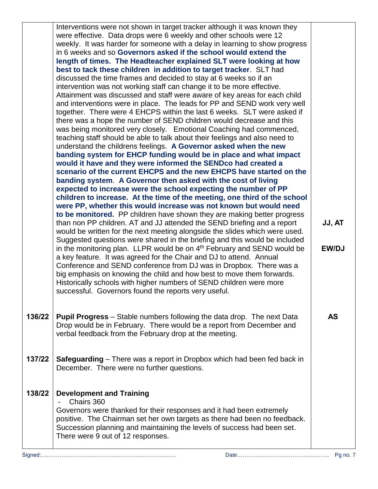|         | Interventions were not shown in target tracker although it was known they<br>were effective. Data drops were 6 weekly and other schools were 12        |              |
|---------|--------------------------------------------------------------------------------------------------------------------------------------------------------|--------------|
|         | weekly. It was harder for someone with a delay in learning to show progress                                                                            |              |
|         | in 6 weeks and so Governors asked if the school would extend the                                                                                       |              |
|         | length of times. The Headteacher explained SLT were looking at how                                                                                     |              |
|         | best to tack these children in addition to target tracker. SLT had                                                                                     |              |
|         | discussed the time frames and decided to stay at 6 weeks so if an                                                                                      |              |
|         | intervention was not working staff can change it to be more effective.<br>Attainment was discussed and staff were aware of key areas for each child    |              |
|         | and interventions were in place. The leads for PP and SEND work very well                                                                              |              |
|         | together. There were 4 EHCPS within the last 6 weeks. SLT were asked if                                                                                |              |
|         | there was a hope the number of SEND children would decrease and this                                                                                   |              |
|         | was being monitored very closely. Emotional Coaching had commenced,                                                                                    |              |
|         | teaching staff should be able to talk about their feelings and also need to                                                                            |              |
|         | understand the childrens feelings. A Governor asked when the new                                                                                       |              |
|         | banding system for EHCP funding would be in place and what impact<br>would it have and they were informed the SENDco had created a                     |              |
|         | scenario of the current EHCPS and the new EHCPS have started on the                                                                                    |              |
|         | banding system. A Governor then asked with the cost of living                                                                                          |              |
|         | expected to increase were the school expecting the number of PP                                                                                        |              |
|         | children to increase. At the time of the meeting, one third of the school                                                                              |              |
|         | were PP, whether this would increase was not known but would need                                                                                      |              |
|         | to be monitored. PP children have shown they are making better progress                                                                                |              |
|         | than non PP children. AT and JJ attended the SEND briefing and a report<br>would be written for the next meeting alongside the slides which were used. | JJ, AT       |
|         | Suggested questions were shared in the briefing and this would be included                                                                             |              |
|         | in the monitoring plan. LLPR would be on $4th$ February and SEND would be                                                                              | <b>EW/DJ</b> |
|         | a key feature. It was agreed for the Chair and DJ to attend. Annual                                                                                    |              |
|         | Conference and SEND conference from DJ was in Dropbox. There was a                                                                                     |              |
|         | big emphasis on knowing the child and how best to move them forwards.                                                                                  |              |
|         | Historically schools with higher numbers of SEND children were more                                                                                    |              |
|         | successful. Governors found the reports very useful.                                                                                                   |              |
|         |                                                                                                                                                        |              |
| 136/22  | <b>Pupil Progress</b> – Stable numbers following the data drop. The next Data                                                                          | <b>AS</b>    |
|         | Drop would be in February. There would be a report from December and                                                                                   |              |
|         | verbal feedback from the February drop at the meeting.                                                                                                 |              |
|         |                                                                                                                                                        |              |
| 137/22  | <b>Safeguarding</b> – There was a report in Dropbox which had been fed back in                                                                         |              |
|         | December. There were no further questions.                                                                                                             |              |
|         |                                                                                                                                                        |              |
|         |                                                                                                                                                        |              |
| 138/22  | <b>Development and Training</b><br>Chairs 360                                                                                                          |              |
|         | Governors were thanked for their responses and it had been extremely                                                                                   |              |
|         | positive. The Chairman set her own targets as there had been no feedback.                                                                              |              |
|         | Succession planning and maintaining the levels of success had been set.                                                                                |              |
|         | There were 9 out of 12 responses.                                                                                                                      |              |
|         |                                                                                                                                                        |              |
| Signed: |                                                                                                                                                        | Pg no. 7     |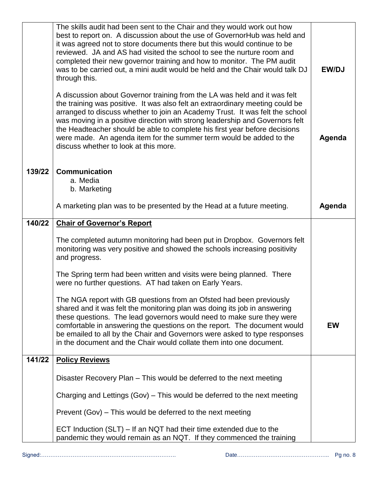|        | The skills audit had been sent to the Chair and they would work out how<br>best to report on. A discussion about the use of GovernorHub was held and<br>it was agreed not to store documents there but this would continue to be<br>reviewed. JA and AS had visited the school to see the nurture room and<br>completed their new governor training and how to monitor. The PM audit<br>was to be carried out, a mini audit would be held and the Chair would talk DJ<br>through this.<br>A discussion about Governor training from the LA was held and it was felt<br>the training was positive. It was also felt an extraordinary meeting could be<br>arranged to discuss whether to join an Academy Trust. It was felt the school<br>was moving in a positive direction with strong leadership and Governors felt<br>the Headteacher should be able to complete his first year before decisions<br>were made. An agenda item for the summer term would be added to the<br>discuss whether to look at this more. | <b>EW/DJ</b><br>Agenda |
|--------|--------------------------------------------------------------------------------------------------------------------------------------------------------------------------------------------------------------------------------------------------------------------------------------------------------------------------------------------------------------------------------------------------------------------------------------------------------------------------------------------------------------------------------------------------------------------------------------------------------------------------------------------------------------------------------------------------------------------------------------------------------------------------------------------------------------------------------------------------------------------------------------------------------------------------------------------------------------------------------------------------------------------|------------------------|
| 139/22 | <b>Communication</b><br>a. Media<br>b. Marketing                                                                                                                                                                                                                                                                                                                                                                                                                                                                                                                                                                                                                                                                                                                                                                                                                                                                                                                                                                   |                        |
|        | A marketing plan was to be presented by the Head at a future meeting.                                                                                                                                                                                                                                                                                                                                                                                                                                                                                                                                                                                                                                                                                                                                                                                                                                                                                                                                              | Agenda                 |
| 140/22 | <b>Chair of Governor's Report</b>                                                                                                                                                                                                                                                                                                                                                                                                                                                                                                                                                                                                                                                                                                                                                                                                                                                                                                                                                                                  |                        |
|        | The completed autumn monitoring had been put in Dropbox. Governors felt<br>monitoring was very positive and showed the schools increasing positivity<br>and progress.                                                                                                                                                                                                                                                                                                                                                                                                                                                                                                                                                                                                                                                                                                                                                                                                                                              |                        |
|        | The Spring term had been written and visits were being planned. There<br>were no further questions. AT had taken on Early Years.                                                                                                                                                                                                                                                                                                                                                                                                                                                                                                                                                                                                                                                                                                                                                                                                                                                                                   |                        |
|        | The NGA report with GB questions from an Ofsted had been previously<br>shared and it was felt the monitoring plan was doing its job in answering<br>these questions. The lead governors would need to make sure they were<br>comfortable in answering the questions on the report. The document would<br>be emailed to all by the Chair and Governors were asked to type responses<br>in the document and the Chair would collate them into one document.                                                                                                                                                                                                                                                                                                                                                                                                                                                                                                                                                          | <b>EW</b>              |
| 141/22 | <b>Policy Reviews</b>                                                                                                                                                                                                                                                                                                                                                                                                                                                                                                                                                                                                                                                                                                                                                                                                                                                                                                                                                                                              |                        |
|        | Disaster Recovery Plan – This would be deferred to the next meeting                                                                                                                                                                                                                                                                                                                                                                                                                                                                                                                                                                                                                                                                                                                                                                                                                                                                                                                                                |                        |
|        | Charging and Lettings (Gov) – This would be deferred to the next meeting                                                                                                                                                                                                                                                                                                                                                                                                                                                                                                                                                                                                                                                                                                                                                                                                                                                                                                                                           |                        |
|        | Prevent (Gov) – This would be deferred to the next meeting                                                                                                                                                                                                                                                                                                                                                                                                                                                                                                                                                                                                                                                                                                                                                                                                                                                                                                                                                         |                        |
|        | ECT Induction $(SLT) - If an NOT had their time extended due to the$<br>pandemic they would remain as an NQT. If they commenced the training                                                                                                                                                                                                                                                                                                                                                                                                                                                                                                                                                                                                                                                                                                                                                                                                                                                                       |                        |